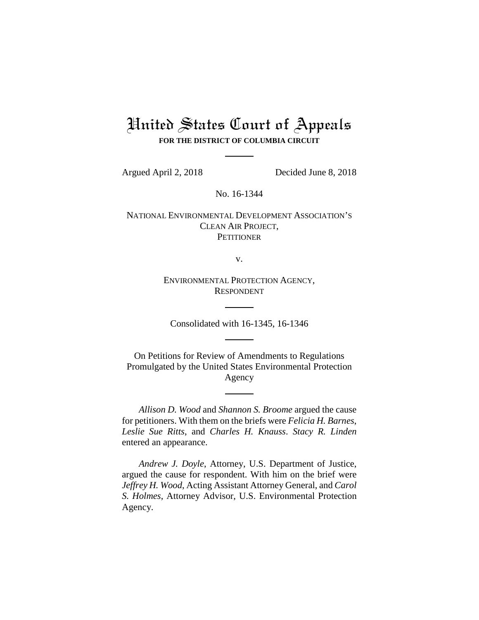# United States Court of Appeals **FOR THE DISTRICT OF COLUMBIA CIRCUIT**

Argued April 2, 2018 Decided June 8, 2018

No. 16-1344

NATIONAL ENVIRONMENTAL DEVELOPMENT ASSOCIATION'S CLEAN AIR PROJECT, **PETITIONER** 

v.

ENVIRONMENTAL PROTECTION AGENCY, RESPONDENT

Consolidated with 16-1345, 16-1346

On Petitions for Review of Amendments to Regulations Promulgated by the United States Environmental Protection Agency

*Allison D. Wood* and *Shannon S. Broome* argued the cause for petitioners. With them on the briefs were *Felicia H. Barnes*, *Leslie Sue Ritts*, and *Charles H. Knauss*. *Stacy R. Linden* entered an appearance.

*Andrew J. Doyle*, Attorney, U.S. Department of Justice, argued the cause for respondent. With him on the brief were *Jeffrey H. Wood*, Acting Assistant Attorney General, and *Carol S. Holmes*, Attorney Advisor, U.S. Environmental Protection Agency.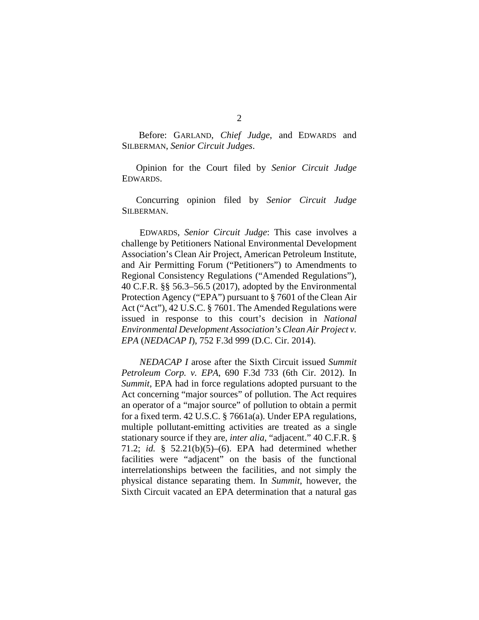Before: GARLAND, *Chief Judge*, and EDWARDS and SILBERMAN, *Senior Circuit Judges*.

Opinion for the Court filed by *Senior Circuit Judge* EDWARDS.

Concurring opinion filed by *Senior Circuit Judge* SILBERMAN.

EDWARDS, *Senior Circuit Judge*: This case involves a challenge by Petitioners National Environmental Development Association's Clean Air Project, American Petroleum Institute, and Air Permitting Forum ("Petitioners") to Amendments to Regional Consistency Regulations ("Amended Regulations"), 40 C.F.R. §§ 56.3–56.5 (2017), adopted by the Environmental Protection Agency ("EPA") pursuant to § 7601 of the Clean Air Act ("Act"), 42 U.S.C. § 7601. The Amended Regulations were issued in response to this court's decision in *National Environmental Development Association's Clean Air Project v. EPA* (*NEDACAP I*), 752 F.3d 999 (D.C. Cir. 2014).

*NEDACAP I* arose after the Sixth Circuit issued *Summit Petroleum Corp. v. EPA*, 690 F.3d 733 (6th Cir. 2012). In *Summit*, EPA had in force regulations adopted pursuant to the Act concerning "major sources" of pollution. The Act requires an operator of a "major source" of pollution to obtain a permit for a fixed term. 42 U.S.C. § 7661a(a). Under EPA regulations, multiple pollutant-emitting activities are treated as a single stationary source if they are, *inter alia*, "adjacent." 40 C.F.R. § 71.2; *id.* § 52.21(b)(5)–(6). EPA had determined whether facilities were "adjacent" on the basis of the functional interrelationships between the facilities, and not simply the physical distance separating them. In *Summit*, however, the Sixth Circuit vacated an EPA determination that a natural gas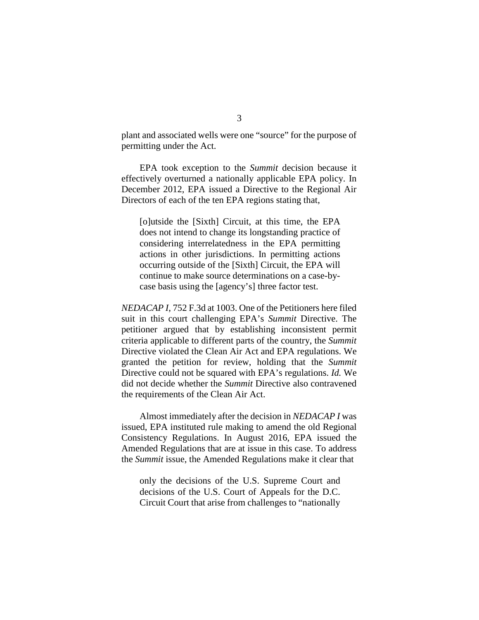plant and associated wells were one "source" for the purpose of permitting under the Act.

EPA took exception to the *Summit* decision because it effectively overturned a nationally applicable EPA policy. In December 2012, EPA issued a Directive to the Regional Air Directors of each of the ten EPA regions stating that,

[o]utside the [Sixth] Circuit, at this time, the EPA does not intend to change its longstanding practice of considering interrelatedness in the EPA permitting actions in other jurisdictions. In permitting actions occurring outside of the [Sixth] Circuit, the EPA will continue to make source determinations on a case-bycase basis using the [agency's] three factor test.

*NEDACAP I*, 752 F.3d at 1003. One of the Petitioners here filed suit in this court challenging EPA's *Summit* Directive. The petitioner argued that by establishing inconsistent permit criteria applicable to different parts of the country, the *Summit* Directive violated the Clean Air Act and EPA regulations. We granted the petition for review, holding that the *Summit* Directive could not be squared with EPA's regulations. *Id.* We did not decide whether the *Summit* Directive also contravened the requirements of the Clean Air Act.

Almost immediately after the decision in *NEDACAP I* was issued, EPA instituted rule making to amend the old Regional Consistency Regulations. In August 2016, EPA issued the Amended Regulations that are at issue in this case. To address the *Summit* issue, the Amended Regulations make it clear that

only the decisions of the U.S. Supreme Court and decisions of the U.S. Court of Appeals for the D.C. Circuit Court that arise from challenges to "nationally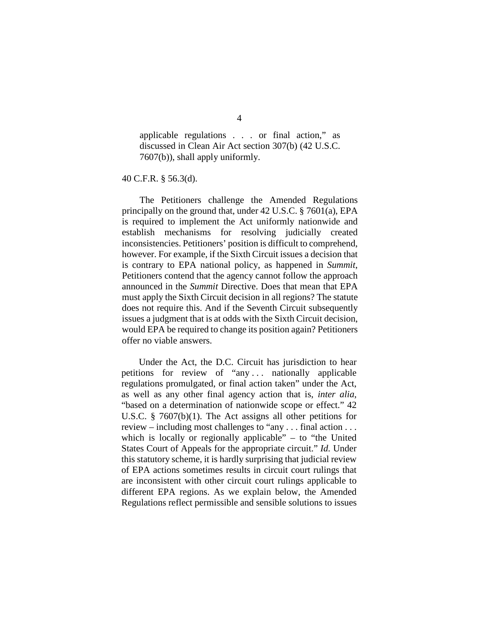applicable regulations . . . or final action," as discussed in Clean Air Act section 307(b) (42 U.S.C. 7607(b)), shall apply uniformly.

40 C.F.R. § 56.3(d).

The Petitioners challenge the Amended Regulations principally on the ground that, under 42 U.S.C. § 7601(a), EPA is required to implement the Act uniformly nationwide and establish mechanisms for resolving judicially created inconsistencies. Petitioners' position is difficult to comprehend, however. For example, if the Sixth Circuit issues a decision that is contrary to EPA national policy, as happened in *Summit*, Petitioners contend that the agency cannot follow the approach announced in the *Summit* Directive. Does that mean that EPA must apply the Sixth Circuit decision in all regions? The statute does not require this. And if the Seventh Circuit subsequently issues a judgment that is at odds with the Sixth Circuit decision, would EPA be required to change its position again? Petitioners offer no viable answers.

Under the Act, the D.C. Circuit has jurisdiction to hear petitions for review of "any . . . nationally applicable regulations promulgated, or final action taken" under the Act, as well as any other final agency action that is, *inter alia*, "based on a determination of nationwide scope or effect." 42 U.S.C. § 7607(b)(1). The Act assigns all other petitions for review – including most challenges to "any . . . final action . . . which is locally or regionally applicable"  $-$  to "the United States Court of Appeals for the appropriate circuit." *Id.* Under this statutory scheme, it is hardly surprising that judicial review of EPA actions sometimes results in circuit court rulings that are inconsistent with other circuit court rulings applicable to different EPA regions. As we explain below, the Amended Regulations reflect permissible and sensible solutions to issues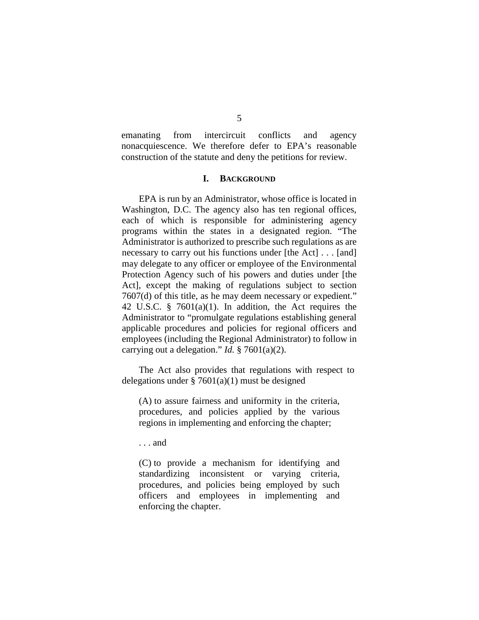emanating from intercircuit conflicts and agency nonacquiescence. We therefore defer to EPA's reasonable construction of the statute and deny the petitions for review.

## **I. BACKGROUND**

EPA is run by an Administrator, whose office is located in Washington, D.C. The agency also has ten regional offices, each of which is responsible for administering agency programs within the states in a designated region. "The Administrator is authorized to prescribe such regulations as are necessary to carry out his functions under [the Act] . . . [and] may delegate to any officer or employee of the Environmental Protection Agency such of his powers and duties under [the Act], except the making of regulations subject to section 7607(d) of this title, as he may deem necessary or expedient." 42 U.S.C. § 7601(a)(1). In addition, the Act requires the Administrator to "promulgate regulations establishing general applicable procedures and policies for regional officers and employees (including the Regional Administrator) to follow in carrying out a delegation." *Id.* § 7601(a)(2).

The Act also provides that regulations with respect to delegations under  $\S 7601(a)(1)$  must be designed

(A) to assure fairness and uniformity in the criteria, procedures, and policies applied by the various regions in implementing and enforcing the chapter;

. . . and

(C) to provide a mechanism for identifying and standardizing inconsistent or varying criteria, procedures, and policies being employed by such officers and employees in implementing and enforcing the chapter.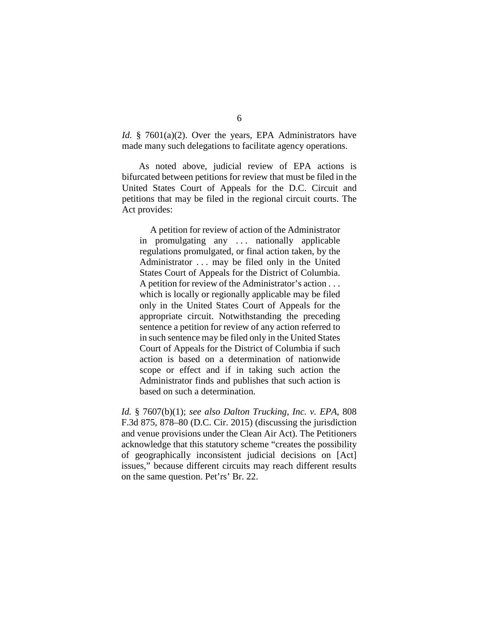*Id.* § 7601(a)(2). Over the years, EPA Administrators have made many such delegations to facilitate agency operations.

As noted above, judicial review of EPA actions is bifurcated between petitions for review that must be filed in the United States Court of Appeals for the D.C. Circuit and petitions that may be filed in the regional circuit courts. The Act provides:

A petition for review of action of the Administrator in promulgating any ... nationally applicable regulations promulgated, or final action taken, by the Administrator . . . may be filed only in the United States Court of Appeals for the District of Columbia. A petition for review of the Administrator's action . . . which is locally or regionally applicable may be filed only in the United States Court of Appeals for the appropriate circuit. Notwithstanding the preceding sentence a petition for review of any action referred to in such sentence may be filed only in the United States Court of Appeals for the District of Columbia if such action is based on a determination of nationwide scope or effect and if in taking such action the Administrator finds and publishes that such action is based on such a determination.

*Id.* § 7607(b)(1); *see also Dalton Trucking, Inc. v. EPA*, 808 F.3d 875, 878–80 (D.C. Cir. 2015) (discussing the jurisdiction and venue provisions under the Clean Air Act). The Petitioners acknowledge that this statutory scheme "creates the possibility of geographically inconsistent judicial decisions on [Act] issues," because different circuits may reach different results on the same question. Pet'rs' Br. 22.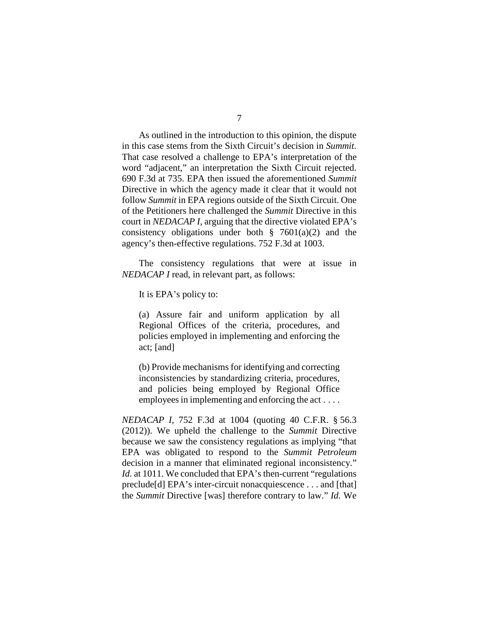As outlined in the introduction to this opinion, the dispute in this case stems from the Sixth Circuit's decision in *Summit*. That case resolved a challenge to EPA's interpretation of the word "adjacent," an interpretation the Sixth Circuit rejected. 690 F.3d at 735. EPA then issued the aforementioned *Summit* Directive in which the agency made it clear that it would not follow *Summit* in EPA regions outside of the Sixth Circuit. One of the Petitioners here challenged the *Summit* Directive in this court in *NEDACAP I*, arguing that the directive violated EPA's consistency obligations under both  $\S$  7601(a)(2) and the agency's then-effective regulations. 752 F.3d at 1003.

The consistency regulations that were at issue in *NEDACAP I* read, in relevant part, as follows:

It is EPA's policy to:

(a) Assure fair and uniform application by all Regional Offices of the criteria, procedures, and policies employed in implementing and enforcing the act; [and]

(b) Provide mechanisms for identifying and correcting inconsistencies by standardizing criteria, procedures, and policies being employed by Regional Office employees in implementing and enforcing the act . . . .

*NEDACAP I*, 752 F.3d at 1004 (quoting 40 C.F.R. § 56.3 (2012)). We upheld the challenge to the *Summit* Directive because we saw the consistency regulations as implying "that EPA was obligated to respond to the *Summit Petroleum* decision in a manner that eliminated regional inconsistency." *Id.* at 1011. We concluded that EPA's then-current "regulations" preclude[d] EPA's inter-circuit nonacquiescence . . . and [that] the *Summit* Directive [was] therefore contrary to law." *Id.* We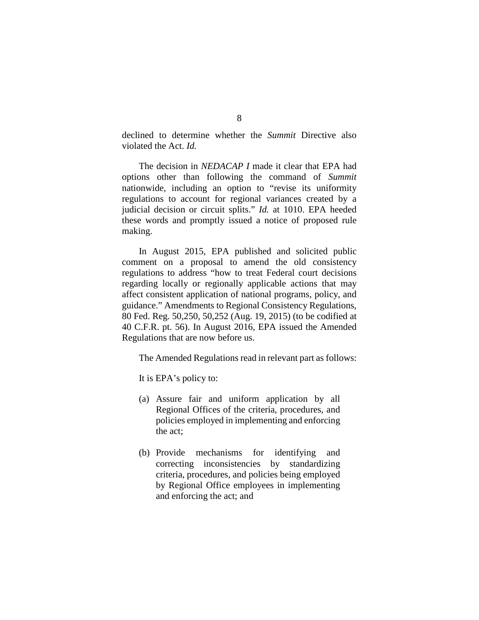declined to determine whether the *Summit* Directive also violated the Act. *Id.*

The decision in *NEDACAP I* made it clear that EPA had options other than following the command of *Summit* nationwide, including an option to "revise its uniformity regulations to account for regional variances created by a judicial decision or circuit splits." *Id.* at 1010. EPA heeded these words and promptly issued a notice of proposed rule making.

In August 2015, EPA published and solicited public comment on a proposal to amend the old consistency regulations to address "how to treat Federal court decisions regarding locally or regionally applicable actions that may affect consistent application of national programs, policy, and guidance." Amendments to Regional Consistency Regulations, 80 Fed. Reg. 50,250, 50,252 (Aug. 19, 2015) (to be codified at 40 C.F.R. pt. 56). In August 2016, EPA issued the Amended Regulations that are now before us.

The Amended Regulations read in relevant part as follows:

It is EPA's policy to:

- (a) Assure fair and uniform application by all Regional Offices of the criteria, procedures, and policies employed in implementing and enforcing the act;
- (b) Provide mechanisms for identifying and correcting inconsistencies by standardizing criteria, procedures, and policies being employed by Regional Office employees in implementing and enforcing the act; and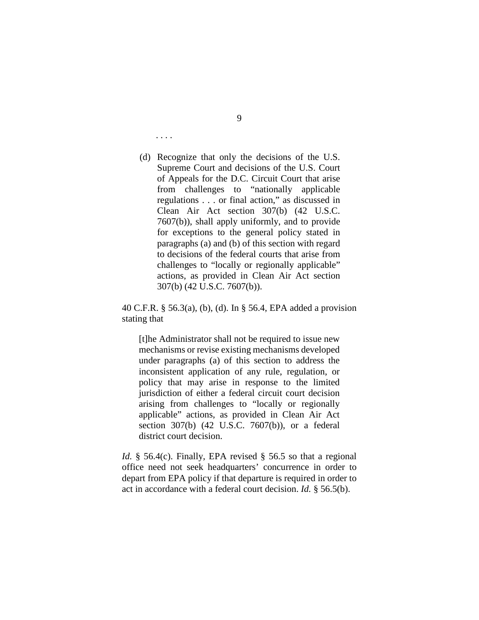. . . .

(d) Recognize that only the decisions of the U.S. Supreme Court and decisions of the U.S. Court of Appeals for the D.C. Circuit Court that arise from challenges to "nationally applicable regulations . . . or final action," as discussed in Clean Air Act section 307(b) (42 U.S.C. 7607(b)), shall apply uniformly, and to provide for exceptions to the general policy stated in paragraphs (a) and (b) of this section with regard to decisions of the federal courts that arise from challenges to "locally or regionally applicable" actions, as provided in Clean Air Act section 307(b) (42 U.S.C. 7607(b)).

40 C.F.R. § 56.3(a), (b), (d). In § 56.4, EPA added a provision stating that

[t]he Administrator shall not be required to issue new mechanisms or revise existing mechanisms developed under paragraphs (a) of this section to address the inconsistent application of any rule, regulation, or policy that may arise in response to the limited jurisdiction of either a federal circuit court decision arising from challenges to "locally or regionally applicable" actions, as provided in Clean Air Act section 307(b) (42 U.S.C. 7607(b)), or a federal district court decision.

*Id.* § 56.4(c). Finally, EPA revised § 56.5 so that a regional office need not seek headquarters' concurrence in order to depart from EPA policy if that departure is required in order to act in accordance with a federal court decision. *Id.* § 56.5(b).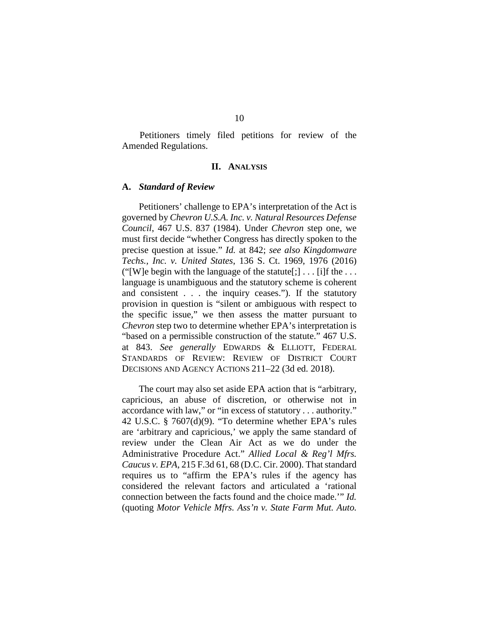Petitioners timely filed petitions for review of the Amended Regulations.

#### **II. ANALYSIS**

## **A.** *Standard of Review*

Petitioners' challenge to EPA's interpretation of the Act is governed by *Chevron U.S.A. Inc. v. Natural Resources Defense Council*, 467 U.S. 837 (1984). Under *Chevron* step one, we must first decide "whether Congress has directly spoken to the precise question at issue." *Id.* at 842; *see also Kingdomware Techs., Inc. v. United States*, 136 S. Ct. 1969, 1976 (2016) ("[W]e begin with the language of the statute[;]  $\ldots$  [i]f the  $\ldots$ language is unambiguous and the statutory scheme is coherent and consistent . . . the inquiry ceases."). If the statutory provision in question is "silent or ambiguous with respect to the specific issue," we then assess the matter pursuant to *Chevron* step two to determine whether EPA's interpretation is "based on a permissible construction of the statute." 467 U.S. at 843. *See generally* EDWARDS & ELLIOTT, FEDERAL STANDARDS OF REVIEW: REVIEW OF DISTRICT COURT DECISIONS AND AGENCY ACTIONS 211–22 (3d ed. 2018).

The court may also set aside EPA action that is "arbitrary, capricious, an abuse of discretion, or otherwise not in accordance with law," or "in excess of statutory . . . authority." 42 U.S.C. § 7607(d)(9). "To determine whether EPA's rules are 'arbitrary and capricious,' we apply the same standard of review under the Clean Air Act as we do under the Administrative Procedure Act." *Allied Local & Reg'l Mfrs. Caucus v. EPA*, 215 F.3d 61, 68 (D.C. Cir. 2000). That standard requires us to "affirm the EPA's rules if the agency has considered the relevant factors and articulated a 'rational connection between the facts found and the choice made.'" *Id.* (quoting *Motor Vehicle Mfrs. Ass'n v. State Farm Mut. Auto.*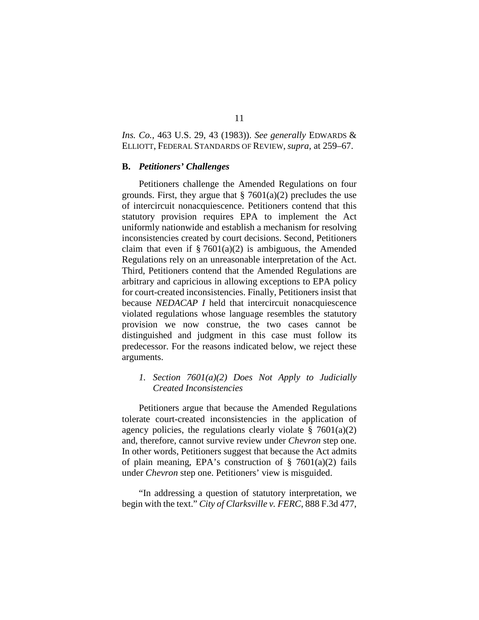*Ins. Co.*, 463 U.S. 29, 43 (1983)). *See generally* EDWARDS & ELLIOTT, FEDERAL STANDARDS OF REVIEW, *supra*, at 259–67.

#### **B.** *Petitioners' Challenges*

Petitioners challenge the Amended Regulations on four grounds. First, they argue that  $\S$  7601(a)(2) precludes the use of intercircuit nonacquiescence. Petitioners contend that this statutory provision requires EPA to implement the Act uniformly nationwide and establish a mechanism for resolving inconsistencies created by court decisions. Second, Petitioners claim that even if  $\S 7601(a)(2)$  is ambiguous, the Amended Regulations rely on an unreasonable interpretation of the Act. Third, Petitioners contend that the Amended Regulations are arbitrary and capricious in allowing exceptions to EPA policy for court-created inconsistencies. Finally, Petitioners insist that because *NEDACAP I* held that intercircuit nonacquiescence violated regulations whose language resembles the statutory provision we now construe, the two cases cannot be distinguished and judgment in this case must follow its predecessor. For the reasons indicated below, we reject these arguments.

# *1. Section 7601(a)(2) Does Not Apply to Judicially Created Inconsistencies*

Petitioners argue that because the Amended Regulations tolerate court-created inconsistencies in the application of agency policies, the regulations clearly violate  $\S$  7601(a)(2) and, therefore, cannot survive review under *Chevron* step one. In other words, Petitioners suggest that because the Act admits of plain meaning, EPA's construction of  $\S$  7601(a)(2) fails under *Chevron* step one. Petitioners' view is misguided.

"In addressing a question of statutory interpretation, we begin with the text." *City of Clarksville v. FERC*, 888 F.3d 477,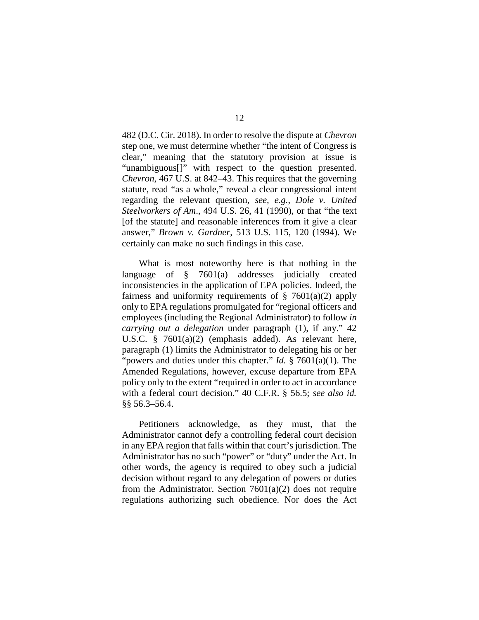482 (D.C. Cir. 2018). In order to resolve the dispute at *Chevron* step one, we must determine whether "the intent of Congress is clear," meaning that the statutory provision at issue is "unambiguous[]" with respect to the question presented. *Chevron*, 467 U.S. at 842–43. This requires that the governing statute, read "as a whole," reveal a clear congressional intent regarding the relevant question, *see, e.g.*, *Dole v. United Steelworkers of Am*., 494 U.S. 26, 41 (1990), or that "the text [of the statute] and reasonable inferences from it give a clear answer," *Brown v. Gardner*, 513 U.S. 115, 120 (1994). We certainly can make no such findings in this case.

What is most noteworthy here is that nothing in the language of § 7601(a) addresses judicially created inconsistencies in the application of EPA policies. Indeed, the fairness and uniformity requirements of  $\S$  7601(a)(2) apply only to EPA regulations promulgated for "regional officers and employees (including the Regional Administrator) to follow *in carrying out a delegation* under paragraph (1), if any." 42 U.S.C. § 7601(a)(2) (emphasis added). As relevant here, paragraph (1) limits the Administrator to delegating his or her "powers and duties under this chapter." *Id.* § 7601(a)(1). The Amended Regulations, however, excuse departure from EPA policy only to the extent "required in order to act in accordance with a federal court decision." 40 C.F.R. § 56.5; *see also id.*  §§ 56.3–56.4.

Petitioners acknowledge, as they must, that the Administrator cannot defy a controlling federal court decision in any EPA region that falls within that court's jurisdiction. The Administrator has no such "power" or "duty" under the Act. In other words, the agency is required to obey such a judicial decision without regard to any delegation of powers or duties from the Administrator. Section  $7601(a)(2)$  does not require regulations authorizing such obedience. Nor does the Act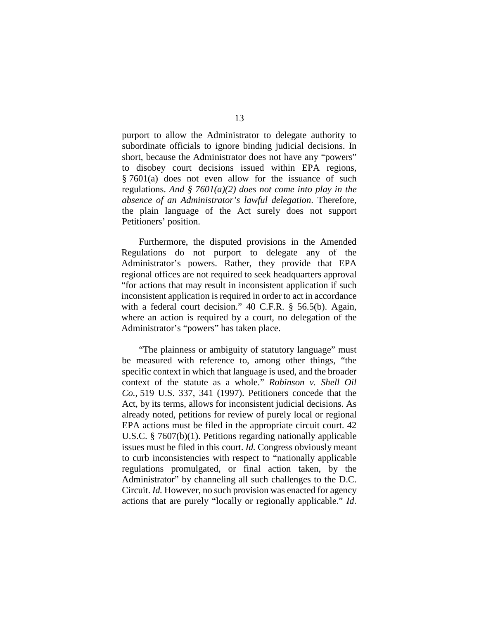purport to allow the Administrator to delegate authority to subordinate officials to ignore binding judicial decisions. In short, because the Administrator does not have any "powers" to disobey court decisions issued within EPA regions, § 7601(a) does not even allow for the issuance of such regulations. *And § 7601(a)(2) does not come into play in the absence of an Administrator's lawful delegation*. Therefore, the plain language of the Act surely does not support Petitioners' position.

Furthermore, the disputed provisions in the Amended Regulations do not purport to delegate any of the Administrator's powers. Rather, they provide that EPA regional offices are not required to seek headquarters approval "for actions that may result in inconsistent application if such inconsistent application is required in order to act in accordance with a federal court decision." 40 C.F.R. § 56.5(b). Again, where an action is required by a court, no delegation of the Administrator's "powers" has taken place.

"The plainness or ambiguity of statutory language" must be measured with reference to, among other things, "the specific context in which that language is used, and the broader context of the statute as a whole." *Robinson v. Shell Oil Co.*, 519 U.S. 337, 341 (1997). Petitioners concede that the Act, by its terms, allows for inconsistent judicial decisions. As already noted, petitions for review of purely local or regional EPA actions must be filed in the appropriate circuit court. 42 U.S.C. § 7607(b)(1). Petitions regarding nationally applicable issues must be filed in this court. *Id.* Congress obviously meant to curb inconsistencies with respect to "nationally applicable regulations promulgated, or final action taken, by the Administrator" by channeling all such challenges to the D.C. Circuit. *Id.* However, no such provision was enacted for agency actions that are purely "locally or regionally applicable." *Id*.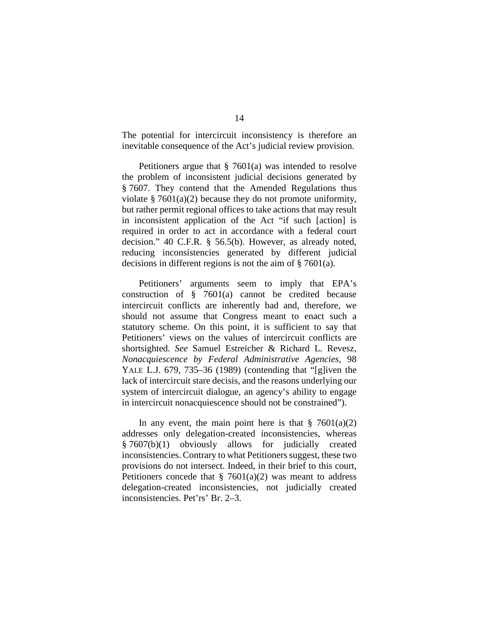The potential for intercircuit inconsistency is therefore an inevitable consequence of the Act's judicial review provision.

Petitioners argue that § 7601(a) was intended to resolve the problem of inconsistent judicial decisions generated by § 7607. They contend that the Amended Regulations thus violate  $\S 7601(a)(2)$  because they do not promote uniformity, but rather permit regional offices to take actions that may result in inconsistent application of the Act "if such [action] is required in order to act in accordance with a federal court decision." 40 C.F.R. § 56.5(b). However, as already noted, reducing inconsistencies generated by different judicial decisions in different regions is not the aim of § 7601(a).

Petitioners' arguments seem to imply that EPA's construction of § 7601(a) cannot be credited because intercircuit conflicts are inherently bad and, therefore, we should not assume that Congress meant to enact such a statutory scheme. On this point, it is sufficient to say that Petitioners' views on the values of intercircuit conflicts are shortsighted. *See* Samuel Estreicher & Richard L. Revesz, *Nonacquiescence by Federal Administrative Agencies*, 98 YALE L.J. 679, 735–36 (1989) (contending that "[g]iven the lack of intercircuit stare decisis, and the reasons underlying our system of intercircuit dialogue, an agency's ability to engage in intercircuit nonacquiescence should not be constrained").

In any event, the main point here is that  $\S$  7601(a)(2) addresses only delegation-created inconsistencies, whereas § 7607(b)(1) obviously allows for judicially created inconsistencies. Contrary to what Petitioners suggest, these two provisions do not intersect. Indeed, in their brief to this court, Petitioners concede that  $\S$  7601(a)(2) was meant to address delegation-created inconsistencies, not judicially created inconsistencies. Pet'rs' Br. 2–3.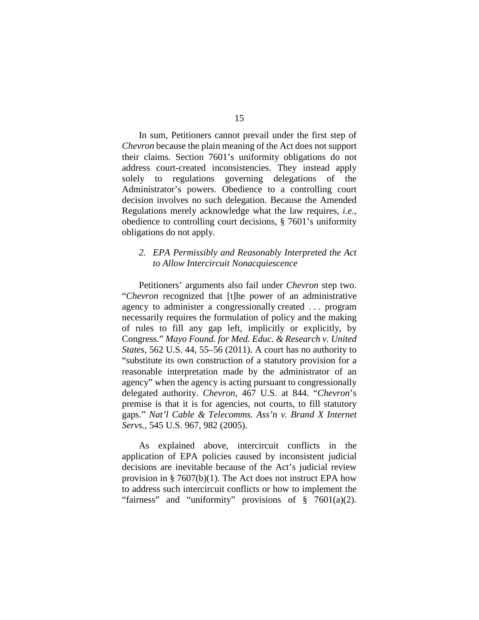In sum, Petitioners cannot prevail under the first step of *Chevron* because the plain meaning of the Act does not support their claims. Section 7601's uniformity obligations do not address court-created inconsistencies. They instead apply solely to regulations governing delegations of the Administrator's powers. Obedience to a controlling court decision involves no such delegation. Because the Amended Regulations merely acknowledge what the law requires, *i.e.*, obedience to controlling court decisions, § 7601's uniformity obligations do not apply.

# *2. EPA Permissibly and Reasonably Interpreted the Act to Allow Intercircuit Nonacquiescence*

Petitioners' arguments also fail under *Chevron* step two. "*Chevron* recognized that [t]he power of an administrative agency to administer a congressionally created . . . program necessarily requires the formulation of policy and the making of rules to fill any gap left, implicitly or explicitly, by Congress." *Mayo Found. for Med. Educ. & Research v. United States*, 562 U.S. 44, 55–56 (2011). A court has no authority to "substitute its own construction of a statutory provision for a reasonable interpretation made by the administrator of an agency" when the agency is acting pursuant to congressionally delegated authority. *Chevron*, 467 U.S. at 844. "*Chevron*'s premise is that it is for agencies, not courts, to fill statutory gaps." *Nat'l Cable & Telecomms. Ass'n v. Brand X Internet Servs.*, 545 U.S. 967, 982 (2005).

As explained above, intercircuit conflicts in the application of EPA policies caused by inconsistent judicial decisions are inevitable because of the Act's judicial review provision in § 7607(b)(1). The Act does not instruct EPA how to address such intercircuit conflicts or how to implement the "fairness" and "uniformity" provisions of  $\S$  7601(a)(2).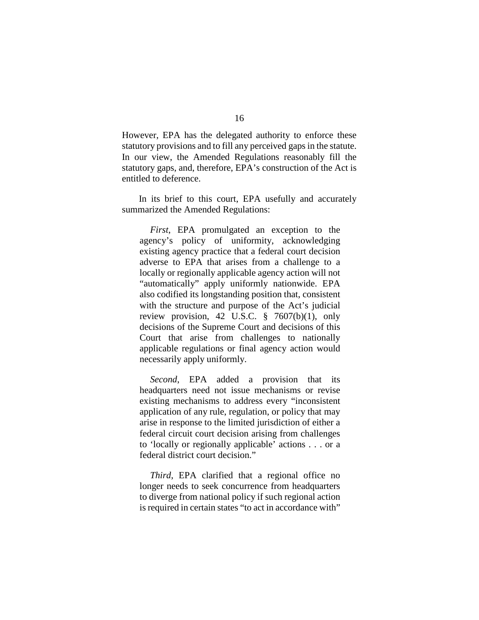However, EPA has the delegated authority to enforce these statutory provisions and to fill any perceived gaps in the statute. In our view, the Amended Regulations reasonably fill the statutory gaps, and, therefore, EPA's construction of the Act is entitled to deference.

In its brief to this court, EPA usefully and accurately summarized the Amended Regulations:

*First*, EPA promulgated an exception to the agency's policy of uniformity, acknowledging existing agency practice that a federal court decision adverse to EPA that arises from a challenge to a locally or regionally applicable agency action will not "automatically" apply uniformly nationwide. EPA also codified its longstanding position that, consistent with the structure and purpose of the Act's judicial review provision, 42 U.S.C. § 7607(b)(1), only decisions of the Supreme Court and decisions of this Court that arise from challenges to nationally applicable regulations or final agency action would necessarily apply uniformly.

*Second*, EPA added a provision that its headquarters need not issue mechanisms or revise existing mechanisms to address every "inconsistent application of any rule, regulation, or policy that may arise in response to the limited jurisdiction of either a federal circuit court decision arising from challenges to 'locally or regionally applicable' actions . . . or a federal district court decision."

*Third*, EPA clarified that a regional office no longer needs to seek concurrence from headquarters to diverge from national policy if such regional action is required in certain states "to act in accordance with"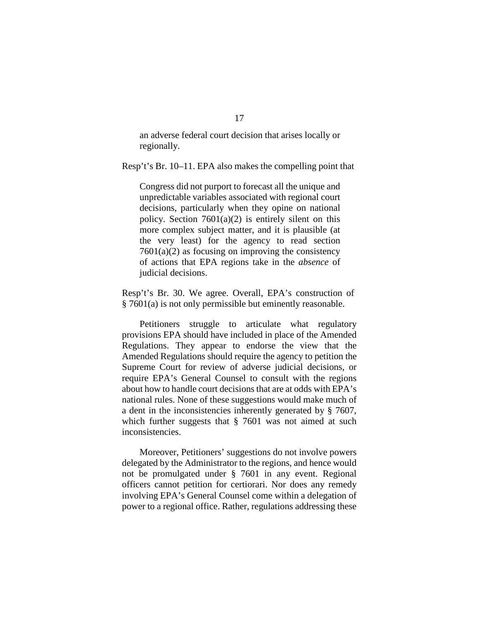an adverse federal court decision that arises locally or regionally.

Resp't's Br. 10–11. EPA also makes the compelling point that

Congress did not purport to forecast all the unique and unpredictable variables associated with regional court decisions, particularly when they opine on national policy. Section  $7601(a)(2)$  is entirely silent on this more complex subject matter, and it is plausible (at the very least) for the agency to read section  $7601(a)(2)$  as focusing on improving the consistency of actions that EPA regions take in the *absence* of judicial decisions.

Resp't's Br. 30. We agree. Overall, EPA's construction of § 7601(a) is not only permissible but eminently reasonable.

Petitioners struggle to articulate what regulatory provisions EPA should have included in place of the Amended Regulations. They appear to endorse the view that the Amended Regulations should require the agency to petition the Supreme Court for review of adverse judicial decisions, or require EPA's General Counsel to consult with the regions about how to handle court decisions that are at odds with EPA's national rules. None of these suggestions would make much of a dent in the inconsistencies inherently generated by § 7607, which further suggests that § 7601 was not aimed at such inconsistencies.

Moreover, Petitioners' suggestions do not involve powers delegated by the Administrator to the regions, and hence would not be promulgated under § 7601 in any event. Regional officers cannot petition for certiorari. Nor does any remedy involving EPA's General Counsel come within a delegation of power to a regional office. Rather, regulations addressing these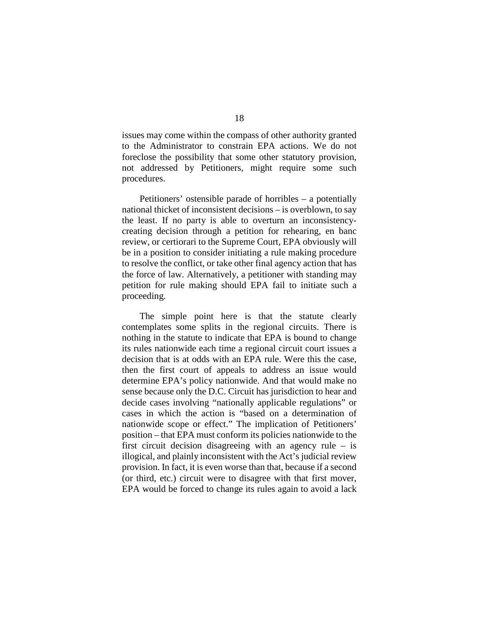issues may come within the compass of other authority granted to the Administrator to constrain EPA actions. We do not foreclose the possibility that some other statutory provision, not addressed by Petitioners, might require some such procedures.

Petitioners' ostensible parade of horribles – a potentially national thicket of inconsistent decisions – is overblown, to say the least. If no party is able to overturn an inconsistencycreating decision through a petition for rehearing, en banc review, or certiorari to the Supreme Court, EPA obviously will be in a position to consider initiating a rule making procedure to resolve the conflict, or take other final agency action that has the force of law. Alternatively, a petitioner with standing may petition for rule making should EPA fail to initiate such a proceeding.

The simple point here is that the statute clearly contemplates some splits in the regional circuits. There is nothing in the statute to indicate that EPA is bound to change its rules nationwide each time a regional circuit court issues a decision that is at odds with an EPA rule. Were this the case, then the first court of appeals to address an issue would determine EPA's policy nationwide. And that would make no sense because only the D.C. Circuit has jurisdiction to hear and decide cases involving "nationally applicable regulations" or cases in which the action is "based on a determination of nationwide scope or effect." The implication of Petitioners' position – that EPA must conform its policies nationwide to the first circuit decision disagreeing with an agency rule – is illogical, and plainly inconsistent with the Act's judicial review provision. In fact, it is even worse than that, because if a second (or third, etc.) circuit were to disagree with that first mover, EPA would be forced to change its rules again to avoid a lack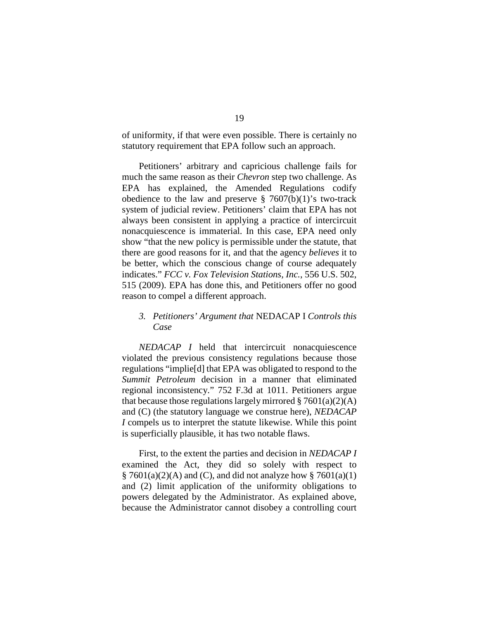of uniformity, if that were even possible. There is certainly no statutory requirement that EPA follow such an approach.

Petitioners' arbitrary and capricious challenge fails for much the same reason as their *Chevron* step two challenge. As EPA has explained, the Amended Regulations codify obedience to the law and preserve  $\S$  7607(b)(1)'s two-track system of judicial review. Petitioners' claim that EPA has not always been consistent in applying a practice of intercircuit nonacquiescence is immaterial. In this case, EPA need only show "that the new policy is permissible under the statute, that there are good reasons for it, and that the agency *believes* it to be better, which the conscious change of course adequately indicates." *FCC v. Fox Television Stations, Inc.*, 556 U.S. 502, 515 (2009). EPA has done this, and Petitioners offer no good reason to compel a different approach.

# *3. Petitioners' Argument that* NEDACAP I *Controls this Case*

*NEDACAP I* held that intercircuit nonacquiescence violated the previous consistency regulations because those regulations "implie[d] that EPA was obligated to respond to the *Summit Petroleum* decision in a manner that eliminated regional inconsistency." 752 F.3d at 1011. Petitioners argue that because those regulations largely mirrored  $\S 7601(a)(2)(A)$ and (C) (the statutory language we construe here), *NEDACAP I* compels us to interpret the statute likewise. While this point is superficially plausible, it has two notable flaws.

First, to the extent the parties and decision in *NEDACAP I* examined the Act, they did so solely with respect to  $\S$  7601(a)(2)(A) and (C), and did not analyze how  $\S$  7601(a)(1) and (2) limit application of the uniformity obligations to powers delegated by the Administrator. As explained above, because the Administrator cannot disobey a controlling court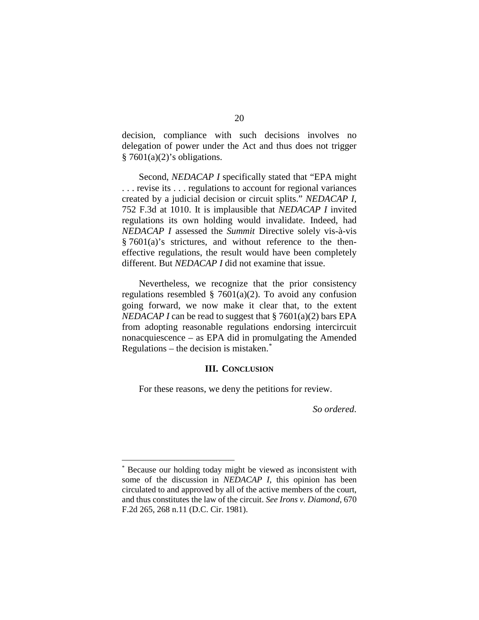decision, compliance with such decisions involves no delegation of power under the Act and thus does not trigger  $§ 7601(a)(2)'$ s obligations.

Second, *NEDACAP I* specifically stated that "EPA might . . . revise its . . . regulations to account for regional variances created by a judicial decision or circuit splits." *NEDACAP I*, 752 F.3d at 1010. It is implausible that *NEDACAP I* invited regulations its own holding would invalidate. Indeed, had *NEDACAP I* assessed the *Summit* Directive solely vis-à-vis § 7601(a)'s strictures, and without reference to the theneffective regulations, the result would have been completely different. But *NEDACAP I* did not examine that issue.

Nevertheless, we recognize that the prior consistency regulations resembled  $\S$  7601(a)(2). To avoid any confusion going forward, we now make it clear that, to the extent *NEDACAP I* can be read to suggest that § 7601(a)(2) bars EPA from adopting reasonable regulations endorsing intercircuit nonacquiescence – as EPA did in promulgating the Amended Regulations – the decision is mistaken.[\\*](#page-19-0)

## **III. CONCLUSION**

For these reasons, we deny the petitions for review.

*So ordered*.

<span id="page-19-0"></span> <sup>\*</sup> Because our holding today might be viewed as inconsistent with some of the discussion in *NEDACAP I*, this opinion has been circulated to and approved by all of the active members of the court, and thus constitutes the law of the circuit. *See Irons v. Diamond*, 670 F.2d 265, 268 n.11 (D.C. Cir. 1981).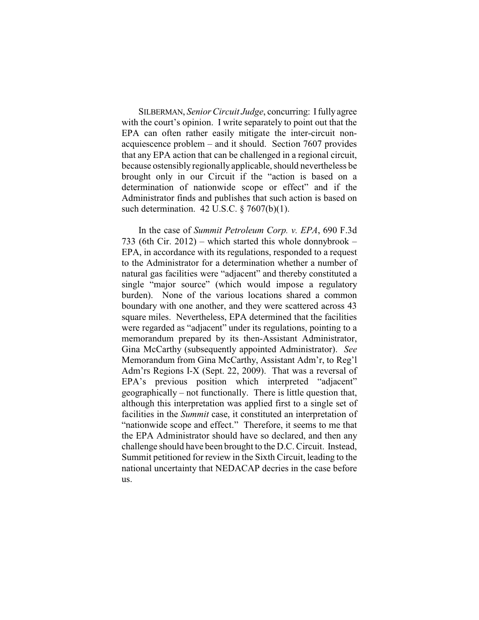SILBERMAN, *Senior Circuit Judge*, concurring: Ifully agree with the court's opinion. I write separately to point out that the EPA can often rather easily mitigate the inter-circuit nonacquiescence problem – and it should. Section 7607 provides that any EPA action that can be challenged in a regional circuit, because ostensibly regionally applicable, should nevertheless be brought only in our Circuit if the "action is based on a determination of nationwide scope or effect" and if the Administrator finds and publishes that such action is based on such determination. 42 U.S.C. § 7607(b)(1).

In the case of *Summit Petroleum Corp. v. EPA*, 690 F.3d 733 (6th Cir. 2012) – which started this whole donnybrook – EPA, in accordance with its regulations, responded to a request to the Administrator for a determination whether a number of natural gas facilities were "adjacent" and thereby constituted a single "major source" (which would impose a regulatory burden). None of the various locations shared a common boundary with one another, and they were scattered across 43 square miles. Nevertheless, EPA determined that the facilities were regarded as "adjacent" under its regulations, pointing to a memorandum prepared by its then-Assistant Administrator, Gina McCarthy (subsequently appointed Administrator). *See* Memorandum from Gina McCarthy, Assistant Adm'r, to Reg'l Adm'rs Regions I-X (Sept. 22, 2009). That was a reversal of EPA's previous position which interpreted "adjacent" geographically – not functionally. There is little question that, although this interpretation was applied first to a single set of facilities in the *Summit* case, it constituted an interpretation of "nationwide scope and effect." Therefore, it seems to me that the EPA Administrator should have so declared, and then any challenge should have been brought to the D.C. Circuit. Instead, Summit petitioned for review in the Sixth Circuit, leading to the national uncertainty that NEDACAP decries in the case before us.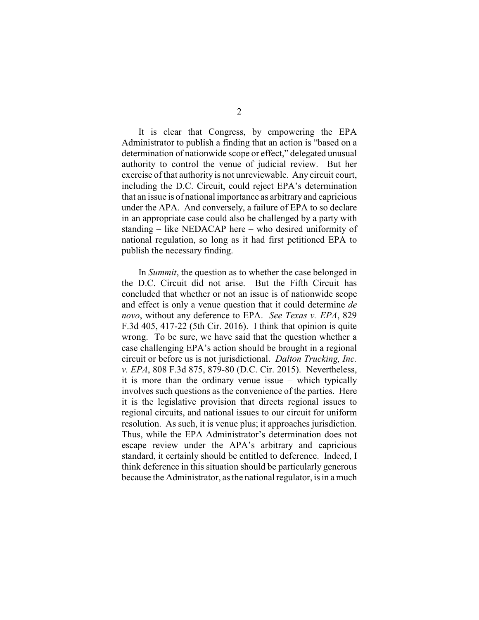It is clear that Congress, by empowering the EPA Administrator to publish a finding that an action is "based on a determination of nationwide scope or effect," delegated unusual authority to control the venue of judicial review. But her exercise of that authority is not unreviewable. Any circuit court, including the D.C. Circuit, could reject EPA's determination that an issue is of national importance as arbitrary and capricious under the APA. And conversely, a failure of EPA to so declare in an appropriate case could also be challenged by a party with standing – like NEDACAP here – who desired uniformity of national regulation, so long as it had first petitioned EPA to publish the necessary finding.

In *Summit*, the question as to whether the case belonged in the D.C. Circuit did not arise. But the Fifth Circuit has concluded that whether or not an issue is of nationwide scope and effect is only a venue question that it could determine *de novo*, without any deference to EPA. *See Texas v. EPA*, 829 F.3d 405, 417-22 (5th Cir. 2016). I think that opinion is quite wrong. To be sure, we have said that the question whether a case challenging EPA's action should be brought in a regional circuit or before us is not jurisdictional. *Dalton Trucking, Inc. v. EPA*, 808 F.3d 875, 879-80 (D.C. Cir. 2015). Nevertheless, it is more than the ordinary venue issue – which typically involves such questions as the convenience of the parties. Here it is the legislative provision that directs regional issues to regional circuits, and national issues to our circuit for uniform resolution. As such, it is venue plus; it approaches jurisdiction. Thus, while the EPA Administrator's determination does not escape review under the APA's arbitrary and capricious standard, it certainly should be entitled to deference. Indeed, I think deference in this situation should be particularly generous because the Administrator, as the national regulator, is in a much